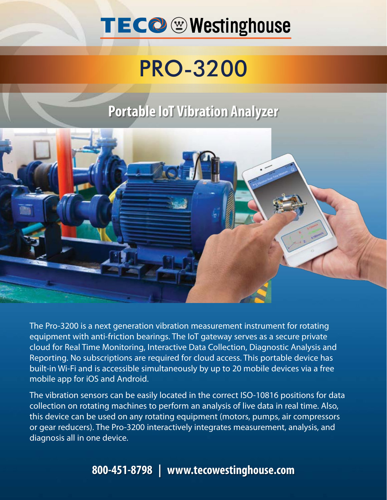## **TECO** *S* Westinghouse

# PRO-3200

### **Portable IoT Vibration Analyzer**



The Pro-3200 is a next generation vibration measurement instrument for rotating equipment with anti-friction bearings. The IoT gateway serves as a secure private cloud for Real Time Monitoring, Interactive Data Collection, Diagnostic Analysis and Reporting. No subscriptions are required for cloud access. This portable device has built-in Wi-Fi and is accessible simultaneously by up to 20 mobile devices via a free mobile app for iOS and Android.

The vibration sensors can be easily located in the correct ISO-10816 positions for data collection on rotating machines to perform an analysis of live data in real time. Also, this device can be used on any rotating equipment (motors, pumps, air compressors or gear reducers). The Pro-3200 interactively integrates measurement, analysis, and diagnosis all in one device.

**800-451-8798 | www.tecowestinghouse.com**